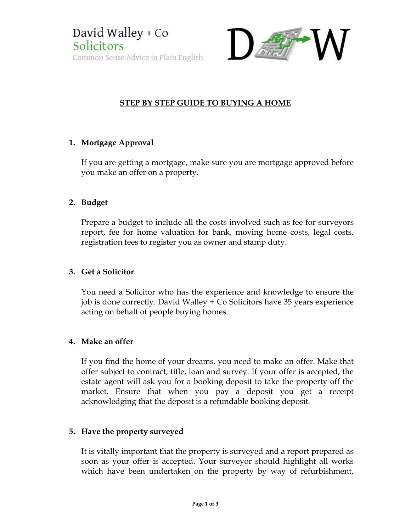

# STEP BY STEP GUIDE TO BUYING A HOME

# 1. Mortgage Approval

If you are getting a mortgage, make sure you are mortgage approved before you make an offer on a property.

# 2. Budget

Prepare a budget to include all the costs involved such as fee for surveyors report, fee for home valuation for bank, moving home costs, legal costs, registration fees to register you as owner and stamp duty.

# 3. Get a Solicitor

You need a Solicitor who has the experience and knowledge to ensure the job is done correctly. David Walley + Co Solicitors have 35 years experience acting on behalf of people buying homes.

# 4. Make an offer

If you find the home of your dreams, you need to make an offer. Make that offer subject to contract, title, loan and survey. If your offer is accepted, the estate agent will ask you for a booking deposit to take the property off the market. Ensure that when you pay a deposit you get a receipt acknowledging that the deposit is a refundable booking deposit.

# 5. Have the property surveyed

It is vitally important that the property is surveyed and a report prepared as soon as your offer is accepted. Your surveyor should highlight all works which have been undertaken on the property by way of refurbishment,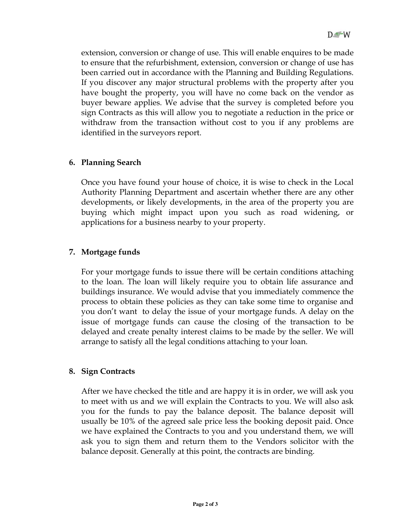extension, conversion or change of use. This will enable enquires to be made to ensure that the refurbishment, extension, conversion or change of use has been carried out in accordance with the Planning and Building Regulations. If you discover any major structural problems with the property after you have bought the property, you will have no come back on the vendor as buyer beware applies. We advise that the survey is completed before you sign Contracts as this will allow you to negotiate a reduction in the price or withdraw from the transaction without cost to you if any problems are identified in the surveyors report.

#### 6. Planning Search

Once you have found your house of choice, it is wise to check in the Local Authority Planning Department and ascertain whether there are any other developments, or likely developments, in the area of the property you are buying which might impact upon you such as road widening, or applications for a business nearby to your property.

#### 7. Mortgage funds

For your mortgage funds to issue there will be certain conditions attaching to the loan. The loan will likely require you to obtain life assurance and buildings insurance. We would advise that you immediately commence the process to obtain these policies as they can take some time to organise and you don't want to delay the issue of your mortgage funds. A delay on the issue of mortgage funds can cause the closing of the transaction to be delayed and create penalty interest claims to be made by the seller. We will arrange to satisfy all the legal conditions attaching to your loan.

#### 8. Sign Contracts

After we have checked the title and are happy it is in order, we will ask you to meet with us and we will explain the Contracts to you. We will also ask you for the funds to pay the balance deposit. The balance deposit will usually be 10% of the agreed sale price less the booking deposit paid. Once we have explained the Contracts to you and you understand them, we will ask you to sign them and return them to the Vendors solicitor with the balance deposit. Generally at this point, the contracts are binding.